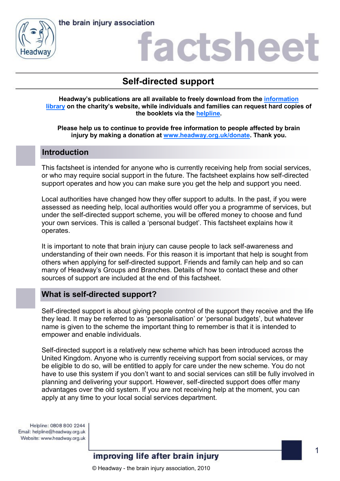



## actshee

## **Self-directed support**

**Headway's publications are all available to freely download from the [information](https://www.headway.org.uk/about-brain-injury/individuals/information-library/)  [library](https://www.headway.org.uk/about-brain-injury/individuals/information-library/) on the charity's website, while individuals and families can request hard copies of the booklets via the [helpline.](https://www.headway.org.uk/supporting-you/helpline/)**

**Please help us to continue to provide free information to people affected by brain injury by making a donation at [www.headway.org.uk/donate.](http://www.headway.org.uk/donate) Thank you.**

### **Introduction**

This factsheet is intended for anyone who is currently receiving help from social services, or who may require social support in the future. The factsheet explains how self-directed support operates and how you can make sure you get the help and support you need.

Local authorities have changed how they offer support to adults. In the past, if you were assessed as needing help, local authorities would offer you a programme of services, but under the self-directed support scheme, you will be offered money to choose and fund your own services. This is called a 'personal budget'. This factsheet explains how it operates.

It is important to note that brain injury can cause people to lack self-awareness and understanding of their own needs. For this reason it is important that help is sought from others when applying for self-directed support. Friends and family can help and so can many of Headway's Groups and Branches. Details of how to contact these and other sources of support are included at the end of this factsheet.

## **What is self-directed support?**

Self-directed support is about giving people control of the support they receive and the life they lead. It may be referred to as 'personalisation' or 'personal budgets', but whatever name is given to the scheme the important thing to remember is that it is intended to empower and enable individuals.

Self-directed support is a relatively new scheme which has been introduced across the United Kingdom. Anyone who is currently receiving support from social services, or may be eligible to do so, will be entitled to apply for care under the new scheme. You do not have to use this system if you don't want to and social services can still be fully involved in planning and delivering your support. However, self-directed support does offer many advantages over the old system. If you are not receiving help at the moment, you can apply at any time to your local social services department.

Helpline: 0808 800 2244 Email: helpline@headway.org.uk Website: www.headway.org.uk

improving life after brain injury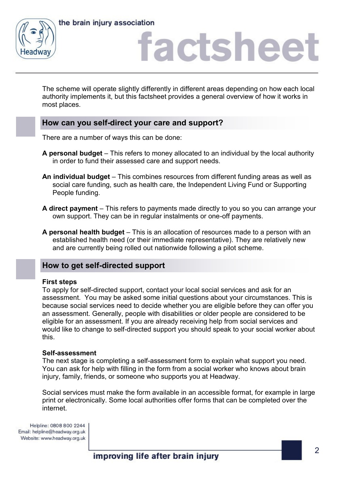



## factsheet

The scheme will operate slightly differently in different areas depending on how each local authority implements it, but this factsheet provides a general overview of how it works in most places.

### **How can you self-direct your care and support?**

There are a number of ways this can be done:

- **A personal budget** This refers to money allocated to an individual by the local authority in order to fund their assessed care and support needs.
- **An individual budget** This combines resources from different funding areas as well as social care funding, such as health care, the Independent Living Fund or Supporting People funding.
- **A direct payment** This refers to payments made directly to you so you can arrange your own support. They can be in regular instalments or one-off payments.
- **A personal health budget** This is an allocation of resources made to a person with an established health need (or their immediate representative). They are relatively new and are currently being rolled out nationwide following a pilot scheme.

### **How to get self-directed support**

#### **First steps**

To apply for self-directed support, contact your local social services and ask for an assessment. You may be asked some initial questions about your circumstances. This is because social services need to decide whether you are eligible before they can offer you an assessment. Generally, people with disabilities or older people are considered to be eligible for an assessment. If you are already receiving help from social services and would like to change to self-directed support you should speak to your social worker about this.

#### **Self-assessment**

The next stage is completing a self-assessment form to explain what support you need. You can ask for help with filling in the form from a social worker who knows about brain injury, family, friends, or someone who supports you at Headway.

Social services must make the form available in an accessible format, for example in large print or electronically. Some local authorities offer forms that can be completed over the internet.

Helpline: 0808 800 2244 Email: helpline@headway.org.uk Website: www.headway.org.uk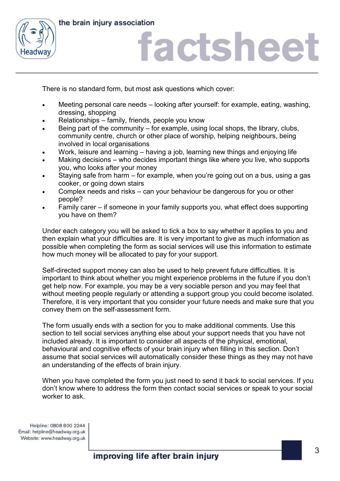



## factsheet

There is no standard form, but most ask questions which cover:

- Meeting personal care needs looking after yourself: for example, eating, washing, dressing, shopping
- Relationships family, friends, people you know
- $\bullet$  Being part of the community for example, using local shops, the library, clubs, community centre, church or other place of worship, helping neighbours, being involved in local organisations
- Work, leisure and learning having a job, learning new things and enjoying life
- Making decisions who decides important things like where you live, who supports you, who looks after your money
- Staying safe from harm for example, when you're going out on a bus, using a gas cooker, or going down stairs
- Complex needs and risks can your behaviour be dangerous for you or other people?
- Family carer if someone in your family supports you, what effect does supporting you have on them?

Under each category you will be asked to tick a box to say whether it applies to you and then explain what your difficulties are. It is very important to give as much information as possible when completing the form as social services will use this information to estimate how much money will be allocated to pay for your support.

Self-directed support money can also be used to help prevent future difficulties. It is important to think about whether you might experience problems in the future if you don't get help now. For example, you may be a very sociable person and you may feel that without meeting people regularly or attending a support group you could become isolated. Therefore, it is very important that you consider your future needs and make sure that you convey them on the self-assessment form.

The form usually ends with a section for you to make additional comments. Use this section to tell social services anything else about your support needs that you have not included already. It is important to consider all aspects of the physical, emotional, behavioural and cognitive effects of your brain injury when filling in this section. Don't assume that social services will automatically consider these things as they may not have an understanding of the effects of brain injury.

When you have completed the form you just need to send it back to social services. If you don't know where to address the form then contact social services or speak to your social worker to ask.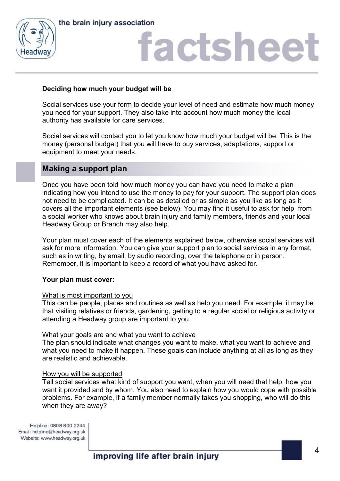

the brain injury association

## factsheet

#### **Deciding how much your budget will be**

Social services use your form to decide your level of need and estimate how much money you need for your support. They also take into account how much money the local authority has available for care services.

Social services will contact you to let you know how much your budget will be. This is the money (personal budget) that you will have to buy services, adaptations, support or equipment to meet your needs.

#### **Making a support plan**

Once you have been told how much money you can have you need to make a plan indicating how you intend to use the money to pay for your support. The support plan does not need to be complicated. It can be as detailed or as simple as you like as long as it covers all the important elements (see below). You may find it useful to ask for help from a social worker who knows about brain injury and family members, friends and your local Headway Group or Branch may also help.

Your plan must cover each of the elements explained below, otherwise social services will ask for more information. You can give your support plan to social services in any format, such as in writing, by email, by audio recording, over the telephone or in person. Remember, it is important to keep a record of what you have asked for.

#### **Your plan must cover:**

#### What is most important to you

This can be people, places and routines as well as help you need. For example, it may be that visiting relatives or friends, gardening, getting to a regular social or religious activity or attending a Headway group are important to you.

#### What your goals are and what you want to achieve

The plan should indicate what changes you want to make, what you want to achieve and what you need to make it happen. These goals can include anything at all as long as they are realistic and achievable.

#### How you will be supported

Tell social services what kind of support you want, when you will need that help, how you want it provided and by whom. You also need to explain how you would cope with possible problems. For example, if a family member normally takes you shopping, who will do this when they are away?

Helpline: 0808 800 2244 Email: helpline@headway.org.uk Website: www.headway.org.uk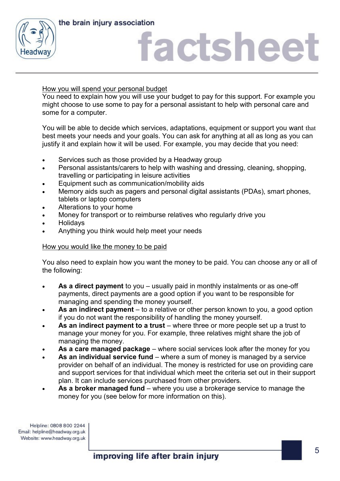



## factsheet

#### How you will spend your personal budget

You need to explain how you will use your budget to pay for this support. For example you might choose to use some to pay for a personal assistant to help with personal care and some for a computer.

You will be able to decide which services, adaptations, equipment or support you want that best meets your needs and your goals. You can ask for anything at all as long as you can justify it and explain how it will be used. For example, you may decide that you need:

- Services such as those provided by a Headway group
- Personal assistants/carers to help with washing and dressing, cleaning, shopping, travelling or participating in leisure activities
- Equipment such as communication/mobility aids
- Memory aids such as pagers and personal digital assistants (PDAs), smart phones, tablets or laptop computers
- Alterations to your home
- Money for transport or to reimburse relatives who regularly drive you
- **Holidavs**
- Anything you think would help meet your needs

#### How you would like the money to be paid

You also need to explain how you want the money to be paid. You can choose any or all of the following:

- **As a direct payment** to you usually paid in monthly instalments or as one-off payments, direct payments are a good option if you want to be responsible for managing and spending the money yourself.
- **As an indirect payment** to a relative or other person known to you, a good option if you do not want the responsibility of handling the money yourself.
- As an indirect payment to a trust where three or more people set up a trust to manage your money for you. For example, three relatives might share the job of managing the money.
- **As a care managed package** where social services look after the money for you
- **As an individual service fund** where a sum of money is managed by a service provider on behalf of an individual. The money is restricted for use on providing care and support services for that individual which meet the criteria set out in their support plan. It can include services purchased from other providers.
- As a broker managed fund where you use a brokerage service to manage the money for you (see below for more information on this).

Helpline: 0808 800 2244 Email: helpline@headway.org.uk Website: www.headway.org.uk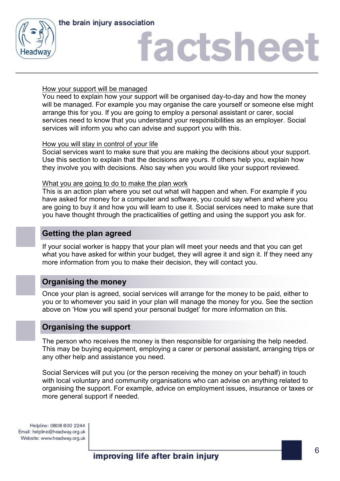



## **factshee**

#### How your support will be managed

You need to explain how your support will be organised day-to-day and how the money will be managed. For example you may organise the care yourself or someone else might arrange this for you. If you are going to employ a personal assistant or carer, social services need to know that you understand your responsibilities as an employer. Social services will inform you who can advise and support you with this.

#### How you will stay in control of your life

Social services want to make sure that you are making the decisions about your support. Use this section to explain that the decisions are yours. If others help you, explain how they involve you with decisions. Also say when you would like your support reviewed.

#### What you are going to do to make the plan work

This is an action plan where you set out what will happen and when. For example if you have asked for money for a computer and software, you could say when and where you are going to buy it and how you will learn to use it. Social services need to make sure that you have thought through the practicalities of getting and using the support you ask for.

### **Getting the plan agreed**

If your social worker is happy that your plan will meet your needs and that you can get what you have asked for within your budget, they will agree it and sign it. If they need any more information from you to make their decision, they will contact you.

## **Organising the money**

Once your plan is agreed, social services will arrange for the money to be paid, either to you or to whomever you said in your plan will manage the money for you. See the section above on 'How you will spend your personal budget' for more information on this.

### **Organising the support**

The person who receives the money is then responsible for organising the help needed. This may be buying equipment, employing a carer or personal assistant, arranging trips or any other help and assistance you need.

Social Services will put you (or the person receiving the money on your behalf) in touch with local voluntary and community organisations who can advise on anything related to organising the support. For example, advice on employment issues, insurance or taxes or more general support if needed.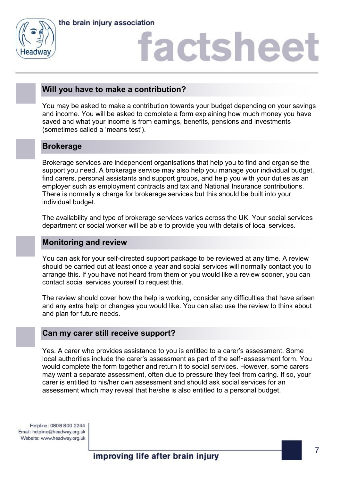

the brain injury association

## factshee

#### **Will you have to make a contribution?**

You may be asked to make a contribution towards your budget depending on your savings and income. You will be asked to complete a form explaining how much money you have saved and what your income is from earnings, benefits, pensions and investments (sometimes called a 'means test').

### **Brokerage**

Brokerage services are independent organisations that help you to find and organise the support you need. A brokerage service may also help you manage your individual budget, find carers, personal assistants and support groups, and help you with your duties as an employer such as employment contracts and tax and National Insurance contributions. There is normally a charge for brokerage services but this should be built into your individual budget.

The availability and type of brokerage services varies across the UK. Your social services department or social worker will be able to provide you with details of local services.

#### **Monitoring and review**

You can ask for your self-directed support package to be reviewed at any time. A review should be carried out at least once a year and social services will normally contact you to arrange this. If you have not heard from them or you would like a review sooner, you can contact social services yourself to request this.

The review should cover how the help is working, consider any difficulties that have arisen and any extra help or changes you would like. You can also use the review to think about and plan for future needs.

#### **Can my carer still receive support?**

Yes. A carer who provides assistance to you is entitled to a carer's assessment. Some local authorities include the carer's assessment as part of the self-assessment form. You would complete the form together and return it to social services. However, some carers may want a separate assessment, often due to pressure they feel from caring. If so, your carer is entitled to his/her own assessment and should ask social services for an assessment which may reveal that he/she is also entitled to a personal budget.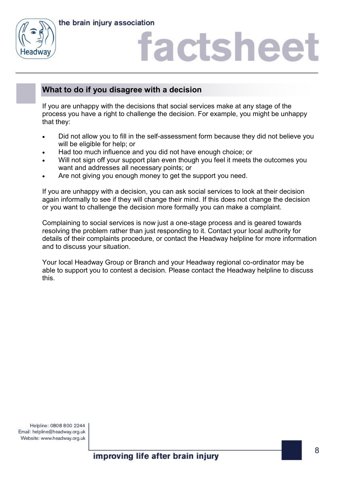



## factshee

## **What to do if you disagree with a decision**

If you are unhappy with the decisions that social services make at any stage of the process you have a right to challenge the decision. For example, you might be unhappy that they:

- Did not allow you to fill in the self-assessment form because they did not believe you will be eligible for help; or
- Had too much influence and you did not have enough choice; or
- Will not sign off your support plan even though you feel it meets the outcomes you want and addresses all necessary points; or
- Are not giving you enough money to get the support you need.

If you are unhappy with a decision, you can ask social services to look at their decision again informally to see if they will change their mind. If this does not change the decision or you want to challenge the decision more formally you can make a complaint.

Complaining to social services is now just a one-stage process and is geared towards resolving the problem rather than just responding to it. Contact your local authority for details of their complaints procedure, or contact the Headway helpline for more information and to discuss your situation.

Your local Headway Group or Branch and your Headway regional co-ordinator may be able to support you to contest a decision. Please contact the Headway helpline to discuss this.